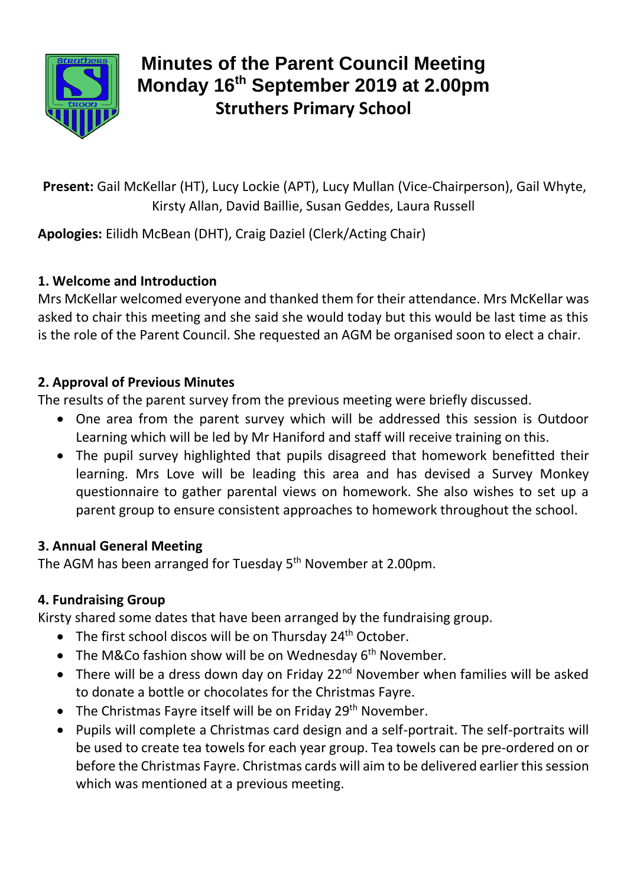

# **Minutes of the Parent Council Meeting Monday 16th September 2019 at 2.00pm Struthers Primary School**

**Present:** Gail McKellar (HT), Lucy Lockie (APT), Lucy Mullan (Vice-Chairperson), Gail Whyte, Kirsty Allan, David Baillie, Susan Geddes, Laura Russell

**Apologies:** Eilidh McBean (DHT), Craig Daziel (Clerk/Acting Chair)

## **1. Welcome and Introduction**

Mrs McKellar welcomed everyone and thanked them for their attendance. Mrs McKellar was asked to chair this meeting and she said she would today but this would be last time as this is the role of the Parent Council. She requested an AGM be organised soon to elect a chair.

## **2. Approval of Previous Minutes**

The results of the parent survey from the previous meeting were briefly discussed.

- One area from the parent survey which will be addressed this session is Outdoor Learning which will be led by Mr Haniford and staff will receive training on this.
- The pupil survey highlighted that pupils disagreed that homework benefitted their learning. Mrs Love will be leading this area and has devised a Survey Monkey questionnaire to gather parental views on homework. She also wishes to set up a parent group to ensure consistent approaches to homework throughout the school.

# **3. Annual General Meeting**

The AGM has been arranged for Tuesday 5<sup>th</sup> November at 2.00pm.

# **4. Fundraising Group**

Kirsty shared some dates that have been arranged by the fundraising group.

- The first school discos will be on Thursday 24<sup>th</sup> October.
- The M&Co fashion show will be on Wednesday  $6<sup>th</sup>$  November.
- There will be a dress down day on Friday 22<sup>nd</sup> November when families will be asked to donate a bottle or chocolates for the Christmas Fayre.
- $\bullet$  The Christmas Favre itself will be on Friday 29<sup>th</sup> November.
- Pupils will complete a Christmas card design and a self-portrait. The self-portraits will be used to create tea towels for each year group. Tea towels can be pre-ordered on or before the Christmas Fayre. Christmas cards will aim to be delivered earlier this session which was mentioned at a previous meeting.